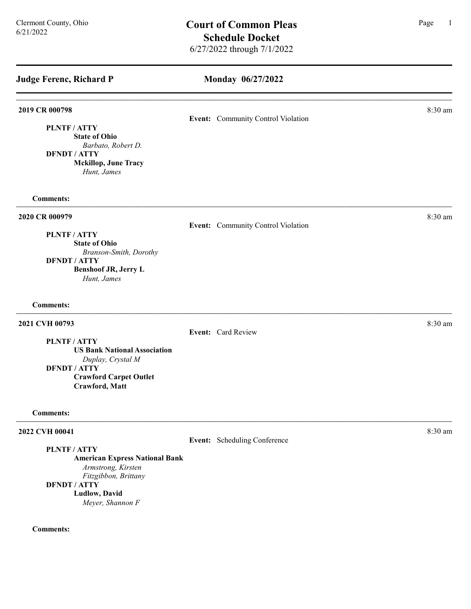# Monday 06/27/2022

| 2019 CR 000798                      |                                    | 8:30 am |
|-------------------------------------|------------------------------------|---------|
|                                     | Event: Community Control Violation |         |
| <b>PLNTF/ATTY</b>                   |                                    |         |
| <b>State of Ohio</b>                |                                    |         |
| Barbato, Robert D.                  |                                    |         |
| <b>DFNDT / ATTY</b>                 |                                    |         |
| <b>Mckillop, June Tracy</b>         |                                    |         |
| Hunt, James                         |                                    |         |
| <b>Comments:</b>                    |                                    |         |
| 2020 CR 000979                      |                                    | 8:30 am |
|                                     | Event: Community Control Violation |         |
| PLNTF / ATTY                        |                                    |         |
| <b>State of Ohio</b>                |                                    |         |
| Branson-Smith, Dorothy              |                                    |         |
| <b>DFNDT / ATTY</b>                 |                                    |         |
| <b>Benshoof JR, Jerry L</b>         |                                    |         |
| Hunt, James                         |                                    |         |
| <b>Comments:</b>                    |                                    |         |
| 2021 CVH 00793                      |                                    | 8:30 am |
|                                     | Event: Card Review                 |         |
| PLNTF/ATTY                          |                                    |         |
| <b>US Bank National Association</b> |                                    |         |
| Duplay, Crystal M                   |                                    |         |
| <b>DFNDT / ATTY</b>                 |                                    |         |
| <b>Crawford Carpet Outlet</b>       |                                    |         |
| Crawford, Matt                      |                                    |         |
| <b>Comments:</b>                    |                                    |         |
| 2022 CVH 00041                      |                                    | 8:30 am |
|                                     | Event: Scheduling Conference       |         |
| PLNTF / ATTY                        |                                    |         |

American Express National Bank

Armstrong, Kirsten

Fitzgibbon, Brittany DFNDT / ATTY

# Ludlow, David

Meyer, Shannon F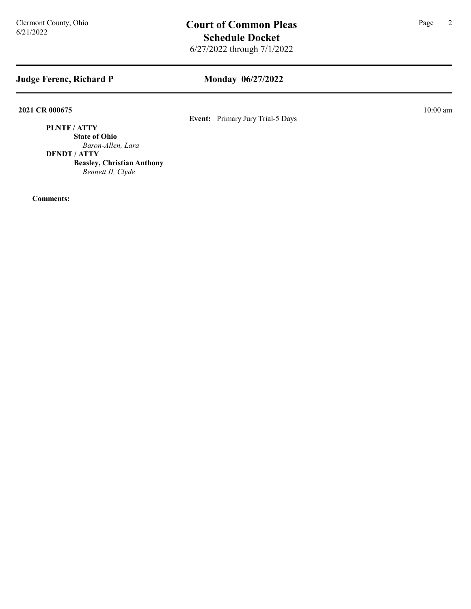## Monday 06/27/2022

2021 CR 000675 10:00 am

Event: Primary Jury Trial-5 Days

PLNTF / ATTY

State of Ohio Baron-Allen, Lara

DFNDT / ATTY

Beasley, Christian Anthony Bennett II, Clyde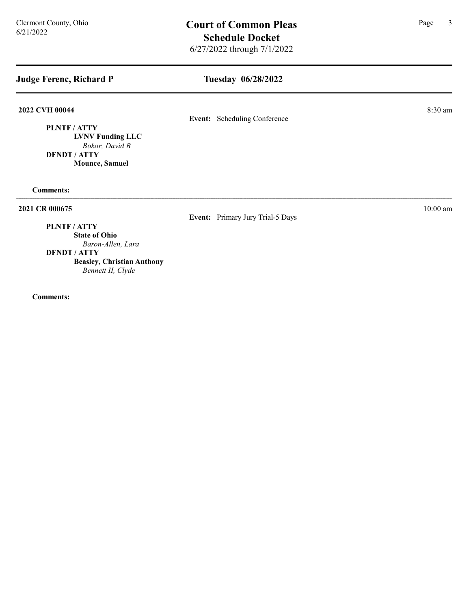## Tuesday 06/28/2022

## **2022 CVH 00044** 8:30 am **8:30 am**

Event: Scheduling Conference

PLNTF / ATTY LVNV Funding LLC Bokor, David B DFNDT / ATTY Mounce, Samuel

Comments:

2021 CR 000675 10:00 am

Event: Primary Jury Trial-5 Days

## PLNTF / ATTY

State of Ohio Baron-Allen, Lara

DFNDT / ATTY

Beasley, Christian Anthony Bennett II, Clyde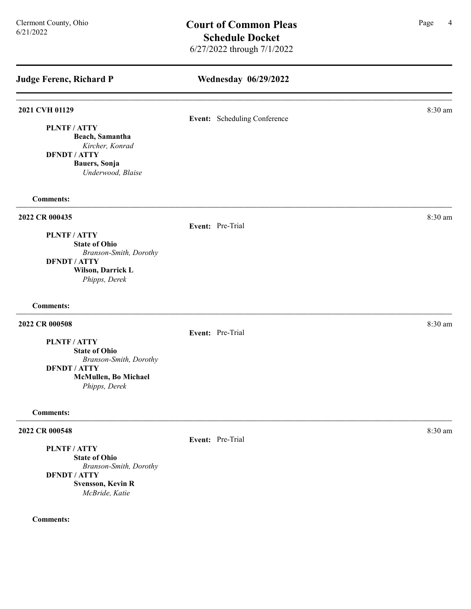| <b>Judge Ferenc, Richard P</b>                                                                                                                        | <b>Wednesday 06/29/2022</b>  |         |
|-------------------------------------------------------------------------------------------------------------------------------------------------------|------------------------------|---------|
| 2021 CVH 01129<br>PLNTF / ATTY<br>Beach, Samantha<br>Kircher, Konrad<br><b>DFNDT / ATTY</b><br>Bauers, Sonja<br>Underwood, Blaise                     | Event: Scheduling Conference | 8:30 am |
| <b>Comments:</b>                                                                                                                                      |                              |         |
| 2022 CR 000435<br><b>PLNTF/ATTY</b><br><b>State of Ohio</b><br>Branson-Smith, Dorothy<br><b>DFNDT / ATTY</b><br>Wilson, Darrick L<br>Phipps, Derek    | Event: Pre-Trial             | 8:30 am |
| <b>Comments:</b>                                                                                                                                      |                              |         |
| 2022 CR 000508<br><b>PLNTF/ATTY</b><br><b>State of Ohio</b><br>Branson-Smith, Dorothy<br><b>DFNDT / ATTY</b><br>McMullen, Bo Michael<br>Phipps, Derek | Event: Pre-Trial             | 8:30 am |
| <b>Comments:</b>                                                                                                                                      |                              |         |
| 2022 CR 000548<br><b>PLNTF/ATTY</b><br><b>State of Ohio</b><br>Branson-Smith, Dorothy                                                                 | Event: Pre-Trial             | 8:30 am |

DFNDT / ATTY Svensson, Kevin R McBride, Katie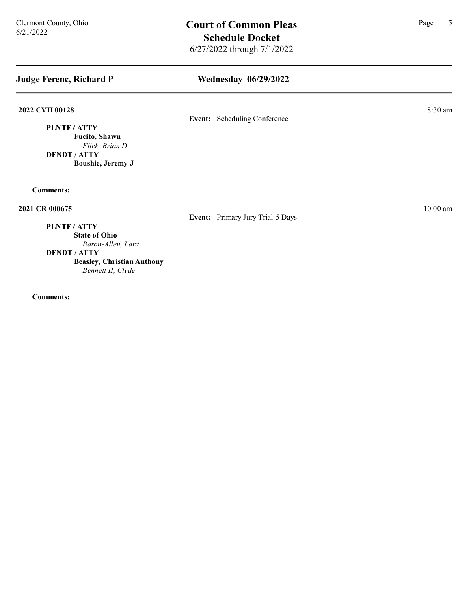## Wednesday 06/29/2022

## 2022 CVH 00128 8:30 am

Event: Scheduling Conference

PLNTF / ATTY Fucito, Shawn Flick, Brian D DFNDT / ATTY Boushie, Jeremy J

Comments:

2021 CR 000675 10:00 am

Event: Primary Jury Trial-5 Days

## PLNTF / ATTY

State of Ohio Baron-Allen, Lara

DFNDT / ATTY

Beasley, Christian Anthony Bennett II, Clyde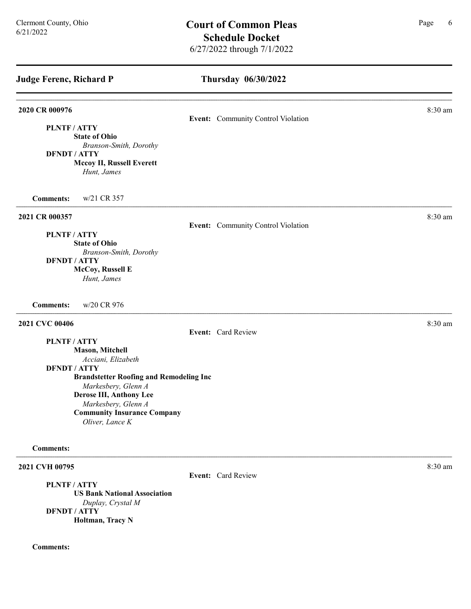| 2020 CR 000976<br>Event: Community Control Violation<br>PLNTF / ATTY<br><b>State of Ohio</b><br>Branson-Smith, Dorothy<br><b>DFNDT / ATTY</b><br>Mccoy II, Russell Everett<br>Hunt, James<br>w/21 CR 357<br><b>Comments:</b><br>2021 CR 000357<br>Event: Community Control Violation<br>PLNTF / ATTY<br><b>State of Ohio</b><br>Branson-Smith, Dorothy<br><b>DFNDT / ATTY</b><br>McCoy, Russell E<br>Hunt, James<br>w/20 CR 976<br><b>Comments:</b><br>2021 CVC 00406<br>Event: Card Review<br><b>PLNTF/ATTY</b><br><b>Mason, Mitchell</b><br>Acciani, Elizabeth<br><b>DFNDT / ATTY</b><br><b>Brandstetter Roofing and Remodeling Inc</b><br>Markesbery, Glenn A<br>Derose III, Anthony Lee<br>Markesbery, Glenn A<br><b>Community Insurance Company</b><br>Oliver, Lance K<br><b>Comments:</b> | <b>Judge Ferenc, Richard P</b> | Thursday 06/30/2022 |         |
|-------------------------------------------------------------------------------------------------------------------------------------------------------------------------------------------------------------------------------------------------------------------------------------------------------------------------------------------------------------------------------------------------------------------------------------------------------------------------------------------------------------------------------------------------------------------------------------------------------------------------------------------------------------------------------------------------------------------------------------------------------------------------------------------------|--------------------------------|---------------------|---------|
|                                                                                                                                                                                                                                                                                                                                                                                                                                                                                                                                                                                                                                                                                                                                                                                                 |                                |                     | 8:30 am |
|                                                                                                                                                                                                                                                                                                                                                                                                                                                                                                                                                                                                                                                                                                                                                                                                 |                                |                     |         |
|                                                                                                                                                                                                                                                                                                                                                                                                                                                                                                                                                                                                                                                                                                                                                                                                 |                                |                     |         |
|                                                                                                                                                                                                                                                                                                                                                                                                                                                                                                                                                                                                                                                                                                                                                                                                 |                                |                     |         |
|                                                                                                                                                                                                                                                                                                                                                                                                                                                                                                                                                                                                                                                                                                                                                                                                 |                                |                     |         |
|                                                                                                                                                                                                                                                                                                                                                                                                                                                                                                                                                                                                                                                                                                                                                                                                 |                                |                     |         |
|                                                                                                                                                                                                                                                                                                                                                                                                                                                                                                                                                                                                                                                                                                                                                                                                 |                                |                     |         |
|                                                                                                                                                                                                                                                                                                                                                                                                                                                                                                                                                                                                                                                                                                                                                                                                 |                                |                     | 8:30 am |
|                                                                                                                                                                                                                                                                                                                                                                                                                                                                                                                                                                                                                                                                                                                                                                                                 |                                |                     |         |
|                                                                                                                                                                                                                                                                                                                                                                                                                                                                                                                                                                                                                                                                                                                                                                                                 |                                |                     |         |
|                                                                                                                                                                                                                                                                                                                                                                                                                                                                                                                                                                                                                                                                                                                                                                                                 |                                |                     |         |
|                                                                                                                                                                                                                                                                                                                                                                                                                                                                                                                                                                                                                                                                                                                                                                                                 |                                |                     |         |
|                                                                                                                                                                                                                                                                                                                                                                                                                                                                                                                                                                                                                                                                                                                                                                                                 |                                |                     |         |
|                                                                                                                                                                                                                                                                                                                                                                                                                                                                                                                                                                                                                                                                                                                                                                                                 |                                |                     |         |
|                                                                                                                                                                                                                                                                                                                                                                                                                                                                                                                                                                                                                                                                                                                                                                                                 |                                |                     |         |
|                                                                                                                                                                                                                                                                                                                                                                                                                                                                                                                                                                                                                                                                                                                                                                                                 |                                |                     | 8:30 am |
|                                                                                                                                                                                                                                                                                                                                                                                                                                                                                                                                                                                                                                                                                                                                                                                                 |                                |                     |         |
|                                                                                                                                                                                                                                                                                                                                                                                                                                                                                                                                                                                                                                                                                                                                                                                                 |                                |                     |         |
|                                                                                                                                                                                                                                                                                                                                                                                                                                                                                                                                                                                                                                                                                                                                                                                                 |                                |                     |         |
|                                                                                                                                                                                                                                                                                                                                                                                                                                                                                                                                                                                                                                                                                                                                                                                                 |                                |                     |         |
|                                                                                                                                                                                                                                                                                                                                                                                                                                                                                                                                                                                                                                                                                                                                                                                                 |                                |                     |         |
|                                                                                                                                                                                                                                                                                                                                                                                                                                                                                                                                                                                                                                                                                                                                                                                                 |                                |                     |         |
|                                                                                                                                                                                                                                                                                                                                                                                                                                                                                                                                                                                                                                                                                                                                                                                                 |                                |                     |         |
|                                                                                                                                                                                                                                                                                                                                                                                                                                                                                                                                                                                                                                                                                                                                                                                                 |                                |                     |         |
|                                                                                                                                                                                                                                                                                                                                                                                                                                                                                                                                                                                                                                                                                                                                                                                                 |                                |                     |         |
|                                                                                                                                                                                                                                                                                                                                                                                                                                                                                                                                                                                                                                                                                                                                                                                                 |                                |                     |         |
|                                                                                                                                                                                                                                                                                                                                                                                                                                                                                                                                                                                                                                                                                                                                                                                                 |                                |                     |         |

Event: Card Review

## 2021 CVH 00795 8:30 am

PLNTF / ATTY US Bank National Association Duplay, Crystal M DFNDT / ATTY Holtman, Tracy N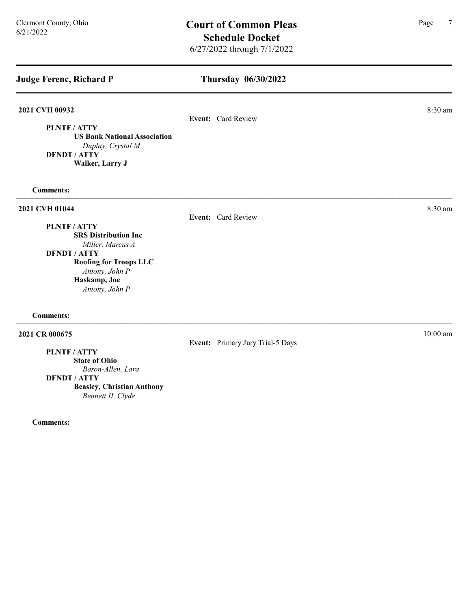# $C$ ermont County, Ohio **Court of Common Pleas** Page 7 Schedule Docket 6/27/2022 through 7/1/2022

Thursday 06/30/2022 Judge Ferenc, Richard P 2021 CVH 00932 8:30 am Event: Card Review PLNTF / ATTY US Bank National Association Duplay, Crystal M DFNDT / ATTY Walker, Larry J Comments: **2021 CVH 01044** 8:30 am **8:30 am** Event: Card Review PLNTF / ATTY SRS Distribution Inc Miller, Marcus A DFNDT / ATTY Roofing for Troops LLC Antony, John P Haskamp, Joe Antony, John P Comments:

Event: Primary Jury Trial-5 Days

# **2021 CR 000675** 10:00 am **10:00 am**

PLNTF / ATTY

State of Ohio Baron-Allen, Lara

DFNDT / ATTY

Beasley, Christian Anthony Bennett II, Clyde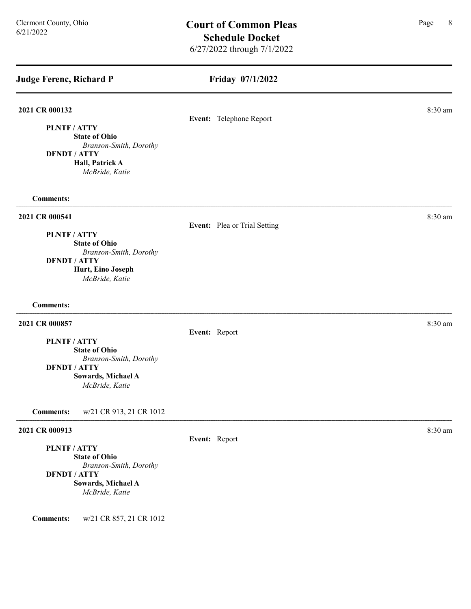## Friday 07/1/2022

# **2021 CR 000132** 8:30 am **8.30 am** Event: Telephone Report PLNTF / ATTY State of Ohio Branson-Smith, Dorothy DFNDT / ATTY Hall, Patrick A McBride, Katie Comments: 2021 CR 000541 8:30 am Event: Plea or Trial Setting PLNTF / ATTY State of Ohio Branson-Smith, Dorothy DFNDT / ATTY Hurt, Eino Joseph McBride, Katie Comments: 2021 CR 000857 8:30 am Event: Report PLNTF / ATTY State of Ohio Branson-Smith, Dorothy DFNDT / ATTY Sowards, Michael A McBride, Katie Comments: w/21 CR 913, 21 CR 1012 **2021 CR 000913** 8:30 am **8:30 am**

# PLNTF / ATTY

State of Ohio Branson-Smith, Dorothy DFNDT / ATTY

Sowards, Michael A McBride, Katie

Comments: w/21 CR 857, 21 CR 1012

Event: Report